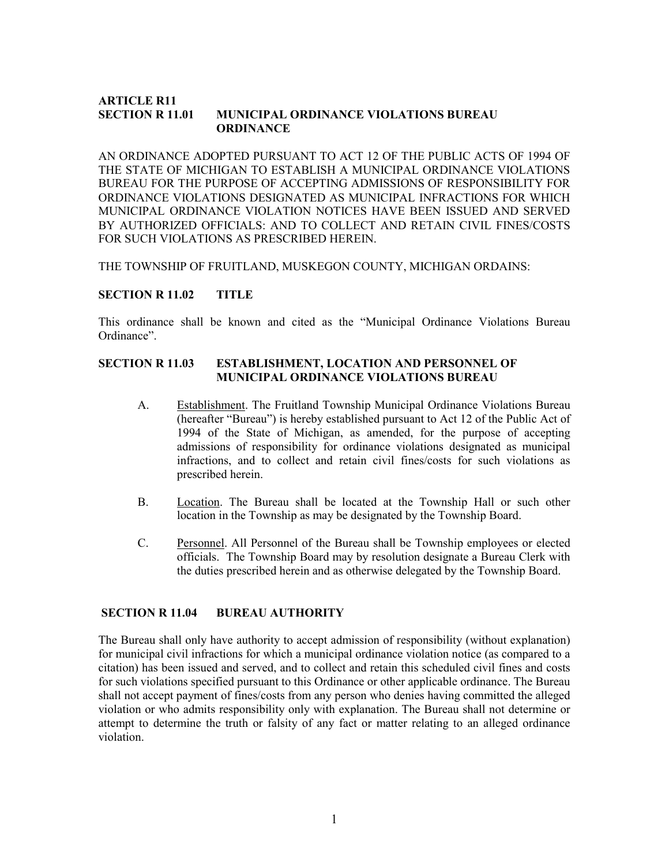#### **ARTICLE R11<br>SECTION R 11.01** MUNICIPAL ORDINANCE VIOLATIONS BUREAU **ORDINANCE**

AN ORDINANCE ADOPTED PURSUANT TO ACT 12 OF THE PUBLIC ACTS OF 1994 OF THE STATE OF MICHIGAN TO ESTABLISH A MUNICIPAL ORDINANCE VIOLATIONS BUREAU FOR THE PURPOSE OF ACCEPTING ADMISSIONS OF RESPONSIBILITY FOR ORDINANCE VIOLATIONS DESIGNATED AS MUNICIPAL INFRACTIONS FOR WHICH MUNICIPAL ORDINANCE VIOLATION NOTICES HAVE BEEN ISSUED AND SERVED BY AUTHORIZED OFFICIALS: AND TO COLLECT AND RETAIN CIVIL FINES/COSTS FOR SUCH VIOLATIONS AS PRESCRIBED HEREIN.

THE TOWNSHIP OF FRUITLAND, MUSKEGON COUNTY, MICHIGAN ORDAINS:

#### SECTION R 11.02 TITLE

This ordinance shall be known and cited as the "Municipal Ordinance Violations Bureau Ordinance".

# SECTION R 11.03 ESTABLISHMENT, LOCATION AND PERSONNEL OF MUNICIPAL ORDINANCE VIOLATIONS BUREAU

- A. Establishment. The Fruitland Township Municipal Ordinance Violations Bureau (hereafter "Bureau") is hereby established pursuant to Act 12 of the Public Act of 1994 of the State of Michigan, as amended, for the purpose of accepting admissions of responsibility for ordinance violations designated as municipal infractions, and to collect and retain civil fines/costs for such violations as prescribed herein.
- B. Location. The Bureau shall be located at the Township Hall or such other location in the Township as may be designated by the Township Board.
- C. Personnel. All Personnel of the Bureau shall be Township employees or elected officials. The Township Board may by resolution designate a Bureau Clerk with the duties prescribed herein and as otherwise delegated by the Township Board.

# SECTION R 11.04 BUREAU AUTHORITY

The Bureau shall only have authority to accept admission of responsibility (without explanation) for municipal civil infractions for which a municipal ordinance violation notice (as compared to a citation) has been issued and served, and to collect and retain this scheduled civil fines and costs for such violations specified pursuant to this Ordinance or other applicable ordinance. The Bureau shall not accept payment of fines/costs from any person who denies having committed the alleged violation or who admits responsibility only with explanation. The Bureau shall not determine or attempt to determine the truth or falsity of any fact or matter relating to an alleged ordinance violation.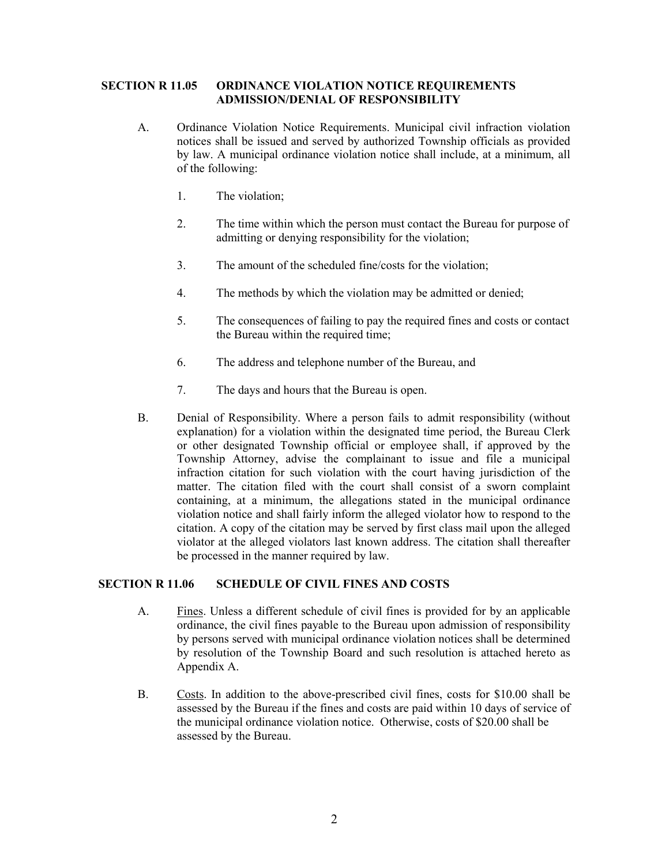# SECTION R 11.05 ORDINANCE VIOLATION NOTICE REQUIREMENTS ADMISSION/DENIAL OF RESPONSIBILITY

- A. Ordinance Violation Notice Requirements. Municipal civil infraction violation notices shall be issued and served by authorized Township officials as provided by law. A municipal ordinance violation notice shall include, at a minimum, all of the following:
	- 1. The violation;
	- 2. The time within which the person must contact the Bureau for purpose of admitting or denying responsibility for the violation;
	- 3. The amount of the scheduled fine/costs for the violation;
	- 4. The methods by which the violation may be admitted or denied;
	- 5. The consequences of failing to pay the required fines and costs or contact the Bureau within the required time;
	- 6. The address and telephone number of the Bureau, and
	- 7. The days and hours that the Bureau is open.
- B. Denial of Responsibility. Where a person fails to admit responsibility (without explanation) for a violation within the designated time period, the Bureau Clerk or other designated Township official or employee shall, if approved by the Township Attorney, advise the complainant to issue and file a municipal infraction citation for such violation with the court having jurisdiction of the matter. The citation filed with the court shall consist of a sworn complaint containing, at a minimum, the allegations stated in the municipal ordinance violation notice and shall fairly inform the alleged violator how to respond to the citation. A copy of the citation may be served by first class mail upon the alleged violator at the alleged violators last known address. The citation shall thereafter be processed in the manner required by law.

# SECTION R 11.06 SCHEDULE OF CIVIL FINES AND COSTS

- A. Fines. Unless a different schedule of civil fines is provided for by an applicable ordinance, the civil fines payable to the Bureau upon admission of responsibility by persons served with municipal ordinance violation notices shall be determined by resolution of the Township Board and such resolution is attached hereto as Appendix A.
- B. Costs. In addition to the above-prescribed civil fines, costs for \$10.00 shall be assessed by the Bureau if the fines and costs are paid within 10 days of service of the municipal ordinance violation notice. Otherwise, costs of \$20.00 shall be assessed by the Bureau.